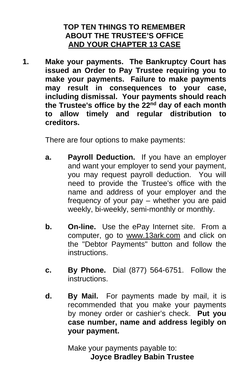# **TOP TEN THINGS TO REMEMBER ABOUT THE TRUSTEE'S OFFICE AND YOUR CHAPTER 13 CASE**

**1. Make your payments. The Bankruptcy Court has issued an Order to Pay Trustee requiring you to make your payments. Failure to make payments may result in consequences to your case, including dismissal. Your payments should reach the Trustee's office by the 22nd day of each month to allow timely and regular distribution to creditors.** 

There are four options to make payments:

- **a. Payroll Deduction.** If you have an employer and want your employer to send your payment, you may request payroll deduction. You will need to provide the Trustee's office with the name and address of your employer and the frequency of your pay – whether you are paid weekly, bi-weekly, semi-monthly or monthly.
- **b. On-line.** Use the ePay Internet site. From a computer, go to www.13ark.com and click on the "Debtor Payments" button and follow the instructions.
- **c. By Phone.** Dial (877) 564-6751. Follow the instructions.
- **d. By Mail.** For payments made by mail, it is recommended that you make your payments by money order or cashier's check. **Put you case number, name and address legibly on your payment.**

Make your payments payable to: **Joyce Bradley Babin Trustee**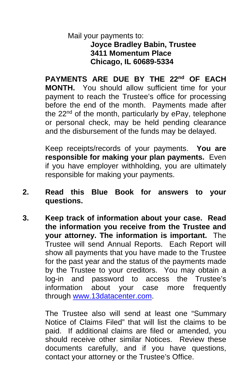# Mail your payments to: **Joyce Bradley Babin, Trustee 3411 Momentum Place Chicago, IL 60689-5334**

**PAYMENTS ARE DUE BY THE 22nd OF EACH MONTH.** You should allow sufficient time for your payment to reach the Trustee's office for processing before the end of the month. Payments made after the  $22<sup>nd</sup>$  of the month, particularly by ePay, telephone or personal check, may be held pending clearance and the disbursement of the funds may be delayed.

Keep receipts/records of your payments. **You are responsible for making your plan payments.** Even if you have employer withholding, you are ultimately responsible for making your payments.

- **2. Read this Blue Book for answers to your questions.**
- **3. Keep track of information about your case. Read the information you receive from the Trustee and your attorney. The information is important.** The Trustee will send Annual Reports. Each Report will show all payments that you have made to the Trustee for the past year and the status of the payments made by the Trustee to your creditors. You may obtain a log-in and password to access the Trustee's information about your case more frequently through [www.13datacenter.com.](http://www.13datacenter.com/)

The Trustee also will send at least one "Summary Notice of Claims Filed" that will list the claims to be paid. If additional claims are filed or amended, you should receive other similar Notices. Review these documents carefully, and if you have questions, contact your attorney or the Trustee's Office.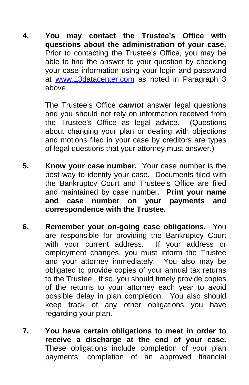**4. You may contact the Trustee's Office with questions about the administration of your case.**  Prior to contacting the Trustee's Office, you may be able to find the answer to your question by checking your case information using your login and password at [www.13datacenter.com](http://www.13datacenter.com/) as noted in Paragraph 3 above.

> The Trustee's Office *cannot* answer legal questions and you should not rely on information received from the Trustee's Office as legal advice. (Questions about changing your plan or dealing with objections and motions filed in your case by creditors are types of legal questions that your attorney must answer.)

- **5. Know your case number.** Your case number is the best way to identify your case. Documents filed with the Bankruptcy Court and Trustee's Office are filed and maintained by case number. **Print your name and case number on your payments and correspondence with the Trustee.**
- **6. Remember your on-going case obligations.** You are responsible for providing the Bankruptcy Court with your current address. If your address or employment changes, you must inform the Trustee and your attorney immediately. You also may be obligated to provide copies of your annual tax returns to the Trustee. If so, you should timely provide copies of the returns to your attorney each year to avoid possible delay in plan completion. You also should keep track of any other obligations you have regarding your plan.
- **7. You have certain obligations to meet in order to receive a discharge at the end of your case.** These obligations include completion of your plan payments; completion of an approved financial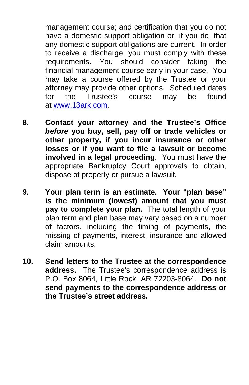management course; and certification that you do not have a domestic support obligation or, if you do, that any domestic support obligations are current. In order to receive a discharge, you must comply with these requirements. You should consider taking the financial management course early in your case. You may take a course offered by the Trustee or your attorney may provide other options. Scheduled dates for the Trustee's course may be found at [www.13ark.com.](http://www.13ark.com/)

- **8. Contact your attorney and the Trustee's Office**  *before* **you buy, sell, pay off or trade vehicles or other property, if you incur insurance or other losses or if you want to file a lawsuit or become involved in a legal proceeding**. You must have the appropriate Bankruptcy Court approvals to obtain, dispose of property or pursue a lawsuit.
- **9. Your plan term is an estimate. Your "plan base" is the minimum (lowest) amount that you must pay to complete your plan.** The total length of your plan term and plan base may vary based on a number of factors, including the timing of payments, the missing of payments, interest, insurance and allowed claim amounts.
- **10. Send letters to the Trustee at the correspondence address.** The Trustee's correspondence address is P.O. Box 8064, Little Rock, AR 72203-8064. **Do not send payments to the correspondence address or the Trustee's street address.**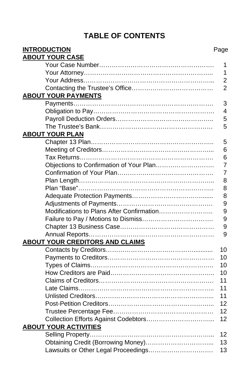# **TABLE OF CONTENTS**

| <b>INTRODUCTION</b>                       | Page           |
|-------------------------------------------|----------------|
| <b>ABOUT YOUR CASE</b>                    |                |
|                                           | 1              |
|                                           | 1              |
|                                           | $\overline{2}$ |
|                                           | $\overline{2}$ |
| <b>ABOUT YOUR PAYMENTS</b>                |                |
|                                           | 3              |
|                                           | 4              |
|                                           | 5              |
|                                           | 5              |
| <b>ABOUT YOUR PLAN</b>                    |                |
|                                           | 5              |
|                                           | 6              |
|                                           | 6              |
| Objections to Confirmation of Your Plan   | $\overline{7}$ |
|                                           | 7              |
|                                           | 8              |
|                                           | 8              |
|                                           | 8              |
|                                           | 9              |
| Modifications to Plans After Confirmation | 9              |
|                                           | 9              |
|                                           | 9              |
|                                           | 9              |
| <b>ABOUT YOUR CREDITORS AND CLAIMS</b>    |                |
|                                           | 10             |
|                                           | 10             |
|                                           | 10             |
|                                           | 10             |
|                                           | 11             |
|                                           | 11             |
|                                           | 11             |
|                                           | 12             |
|                                           | 12             |
|                                           | 12             |
| <b>ABOUT YOUR ACTIVITIES</b>              |                |
|                                           | 12             |
|                                           | 13             |
| Lawsuits or Other Legal Proceedings       | 13             |
|                                           |                |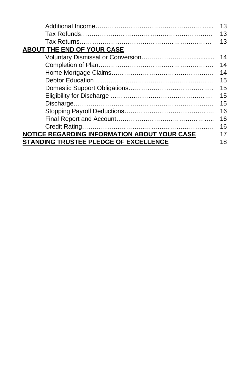|                                                     | 13 |
|-----------------------------------------------------|----|
|                                                     | 13 |
|                                                     | 13 |
| <b>ABOUT THE END OF YOUR CASE</b>                   |    |
|                                                     | 14 |
|                                                     | 14 |
|                                                     | 14 |
|                                                     | 15 |
|                                                     | 15 |
|                                                     | 15 |
|                                                     | 15 |
|                                                     | 16 |
|                                                     | 16 |
|                                                     | 16 |
| <b>NOTICE REGARDING INFORMATION ABOUT YOUR CASE</b> | 17 |
| STANDING TRUSTEE PLEDGE OF EXCELLENCE               | 18 |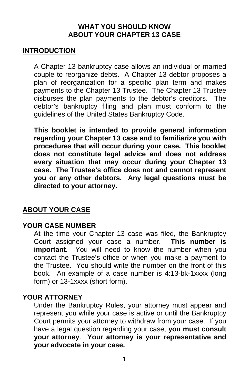### **WHAT YOU SHOULD KNOW ABOUT YOUR CHAPTER 13 CASE**

### **INTRODUCTION**

A Chapter 13 bankruptcy case allows an individual or married couple to reorganize debts. A Chapter 13 debtor proposes a plan of reorganization for a specific plan term and makes payments to the Chapter 13 Trustee. The Chapter 13 Trustee disburses the plan payments to the debtor's creditors. The debtor's bankruptcy filing and plan must conform to the guidelines of the United States Bankruptcy Code.

**This booklet is intended to provide general information regarding your Chapter 13 case and to familiarize you with procedures that will occur during your case. This booklet does not constitute legal advice and does not address every situation that may occur during your Chapter 13 case. The Trustee's office does not and cannot represent you or any other debtors. Any legal questions must be directed to your attorney.** 

#### **ABOUT YOUR CASE**

#### **YOUR CASE NUMBER**

At the time your Chapter 13 case was filed, the Bankruptcy Court assigned your case a number. **This number is important.** You will need to know the number when you contact the Trustee's office or when you make a payment to the Trustee. You should write the number on the front of this book. An example of a case number is 4:13-bk-1xxxx (long form) or 13-1xxxx (short form).

#### **YOUR ATTORNEY**

Under the Bankruptcy Rules, your attorney must appear and represent you while your case is active or until the Bankruptcy Court permits your attorney to withdraw from your case. If you have a legal question regarding your case, **you must consult your attorney**. **Your attorney is your representative and your advocate in your case.**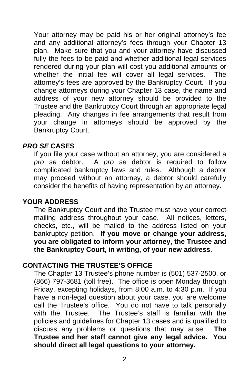Your attorney may be paid his or her original attorney's fee and any additional attorney's fees through your Chapter 13 plan. Make sure that you and your attorney have discussed fully the fees to be paid and whether additional legal services rendered during your plan will cost you additional amounts or whether the initial fee will cover all legal services. The attorney's fees are approved by the Bankruptcy Court. If you change attorneys during your Chapter 13 case, the name and address of your new attorney should be provided to the Trustee and the Bankruptcy Court through an appropriate legal pleading. Any changes in fee arrangements that result from your change in attorneys should be approved by the Bankruptcy Court.

### *PRO SE* **CASES**

If you file your case without an attorney, you are considered a<br>pro se debtor. A pro se debtor is required to follow *pro se* debtor. A *pro se* debtor is required to follow complicated bankruptcy laws and rules. Although a debtor may proceed without an attorney, a debtor should carefully consider the benefits of having representation by an attorney.

### **YOUR ADDRESS**

The Bankruptcy Court and the Trustee must have your correct mailing address throughout your case. All notices, letters, checks, etc., will be mailed to the address listed on your bankruptcy petition. **If you move or change your address, you are obligated to inform your attorney, the Trustee and the Bankruptcy Court, in writing, of your new address**.

#### **CONTACTING THE TRUSTEE'S OFFICE**

The Chapter 13 Trustee's phone number is (501) 537-2500, or (866) 797-3681 (toll free). The office is open Monday through Friday, excepting holidays, from 8:00 a.m. to 4:30 p.m. If you have a non-legal question about your case, you are welcome call the Trustee's office. You do not have to talk personally with the Trustee. The Trustee's staff is familiar with the policies and guidelines for Chapter 13 cases and is qualified to discuss any problems or questions that may arise. **The Trustee and her staff cannot give any legal advice. You should direct all legal questions to your attorney.**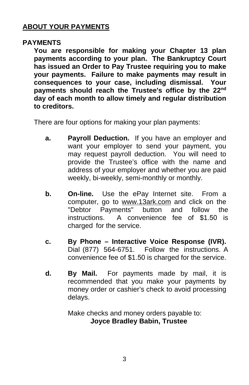### **ABOUT YOUR PAYMENTS**

#### **PAYMENTS**

**You are responsible for making your Chapter 13 plan payments according to your plan. The Bankruptcy Court has issued an Order to Pay Trustee requiring you to make your payments. Failure to make payments may result in consequences to your case, including dismissal. Your payments should reach the Trustee's office by the 22nd day of each month to allow timely and regular distribution to creditors.** 

There are four options for making your plan payments:

- **a. Payroll Deduction.** If you have an employer and want your employer to send your payment, you may request payroll deduction. You will need to provide the Trustee's office with the name and address of your employer and whether you are paid weekly, bi-weekly, semi-monthly or monthly.
- **b. On-line.** Use the ePay Internet site. From a computer, go to www.13ark.com and click on the<br>"Debtor Payments" button and follow the "Debtor Payments" button and instructions. A convenience fee of \$1.50 is charged for the service.
- **c. By Phone Interactive Voice Response (IVR).** Dial (877) 564-6751. Follow the instructions. A convenience fee of \$1.50 is charged for the service.
- **d. By Mail.** For payments made by mail, it is recommended that you make your payments by money order or cashier's check to avoid processing delays.

Make checks and money orders payable to: **Joyce Bradley Babin, Trustee**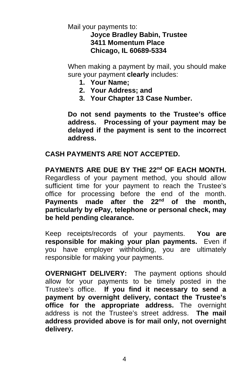Mail your payments to:

### **Joyce Bradley Babin, Trustee 3411 Momentum Place Chicago, IL 60689-5334**

When making a payment by mail, you should make sure your payment **clearly** includes:

- **1. Your Name;**
- **2. Your Address; and**
- **3. Your Chapter 13 Case Number.**

**Do not send payments to the Trustee's office address. Processing of your payment may be delayed if the payment is sent to the incorrect address.** 

### **CASH PAYMENTS ARE NOT ACCEPTED.**

**PAYMENTS ARE DUE BY THE 22nd OF EACH MONTH.**  Regardless of your payment method, you should allow sufficient time for your payment to reach the Trustee's office for processing before the end of the month. **Payments made after the 22nd of the month, particularly by ePay, telephone or personal check, may be held pending clearance.** 

Keep receipts/records of your payments. **You are responsible for making your plan payments.** Even if you have employer withholding, you are ultimately responsible for making your payments.

**OVERNIGHT DELIVERY:** The payment options should allow for your payments to be timely posted in the Trustee's office. **If you find it necessary to send a payment by overnight delivery, contact the Trustee's office for the appropriate address.** The overnight address is not the Trustee's street address. **The mail address provided above is for mail only, not overnight delivery.**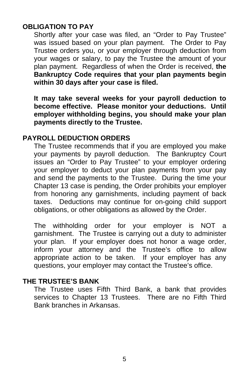### **OBLIGATION TO PAY**

Shortly after your case was filed, an "Order to Pay Trustee" was issued based on your plan payment. The Order to Pay Trustee orders you, or your employer through deduction from your wages or salary, to pay the Trustee the amount of your plan payment. Regardless of when the Order is received, **the Bankruptcy Code requires that your plan payments begin within 30 days after your case is filed.** 

**It may take several weeks for your payroll deduction to become effective. Please monitor your deductions. Until employer withholding begins, you should make your plan payments directly to the Trustee.**

#### **PAYROLL DEDUCTION ORDERS**

The Trustee recommends that if you are employed you make your payments by payroll deduction. The Bankruptcy Court issues an "Order to Pay Trustee" to your employer ordering your employer to deduct your plan payments from your pay and send the payments to the Trustee. During the time your Chapter 13 case is pending, the Order prohibits your employer from honoring any garnishments, including payment of back taxes. Deductions may continue for on-going child support obligations, or other obligations as allowed by the Order.

The withholding order for your employer is NOT a garnishment. The Trustee is carrying out a duty to administer your plan. If your employer does not honor a wage order, inform your attorney and the Trustee's office to allow appropriate action to be taken. If your employer has any questions, your employer may contact the Trustee's office.

#### **THE TRUSTEE'S BANK**

The Trustee uses Fifth Third Bank, a bank that provides services to Chapter 13 Trustees. There are no Fifth Third Bank branches in Arkansas.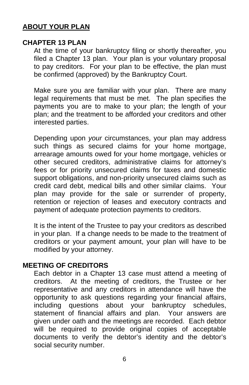### **ABOUT YOUR PLAN**

#### **CHAPTER 13 PLAN**

At the time of your bankruptcy filing or shortly thereafter, you filed a Chapter 13 plan. Your plan is your voluntary proposal to pay creditors. For your plan to be effective, the plan must be confirmed (approved) by the Bankruptcy Court.

Make sure you are familiar with your plan. There are many legal requirements that must be met. The plan specifies the payments you are to make to your plan; the length of your plan; and the treatment to be afforded your creditors and other interested parties.

Depending upon *your* circumstances, your plan may address such things as secured claims for your home mortgage, arrearage amounts owed for your home mortgage, vehicles or other secured creditors, administrative claims for attorney's fees or for priority unsecured claims for taxes and domestic support obligations, and non-priority unsecured claims such as credit card debt, medical bills and other similar claims. Your plan may provide for the sale or surrender of property, retention or rejection of leases and executory contracts and payment of adequate protection payments to creditors.

It is the intent of the Trustee to pay your creditors as described in your plan. If a change needs to be made to the treatment of creditors or your payment amount, your plan will have to be modified by your attorney.

#### **MEETING OF CREDITORS**

Each debtor in a Chapter 13 case must attend a meeting of creditors. At the meeting of creditors, the Trustee or her representative and any creditors in attendance will have the opportunity to ask questions regarding your financial affairs, including questions about your bankruptcy schedules, statement of financial affairs and plan. Your answers are given under oath and the meetings are recorded. Each debtor will be required to provide original copies of acceptable documents to verify the debtor's identity and the debtor's social security number.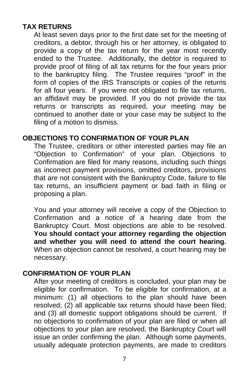# **TAX RETURNS**

At least seven days prior to the first date set for the meeting of creditors, a debtor, through his or her attorney, is obligated to provide a copy of the tax return for the year most recently ended to the Trustee. Additionally, the debtor is required to provide proof of filing of all tax returns for the four years prior to the bankruptcy filing. The Trustee requires "proof" in the form of copies of the IRS Transcripts or copies of the returns for all four years. If you were not obligated to file tax returns, an affidavit may be provided. If you do not provide the tax returns or transcripts as required, your meeting may be continued to another date or your case may be subject to the filing of a motion to dismiss.

#### **OBJECTIONS TO CONFIRMATION OF YOUR PLAN**

The Trustee, creditors or other interested parties may file an "Objection to Confirmation" of your plan. Objections to Confirmation are filed for many reasons, including such things as incorrect payment provisions, omitted creditors, provisions that are not consistent with the Bankruptcy Code, failure to file tax returns, an insufficient payment or bad faith in filing or proposing a plan.

You and your attorney will receive a copy of the Objection to Confirmation and a notice of a hearing date from the Bankruptcy Court. Most objections are able to be resolved. **You should contact your attorney regarding the objection and whether you will need to attend the court hearing.** When an objection cannot be resolved, a court hearing may be necessary.

#### **CONFIRMATION OF YOUR PLAN**

After your meeting of creditors is concluded, your plan may be eligible for confirmation. To be eligible for confirmation, at a minimum: (1) all objections to the plan should have been resolved; (2) all applicable tax returns should have been filed; and (3) all domestic support obligations should be current. If no objections to confirmation of your plan are filed or when all objections to your plan are resolved, the Bankruptcy Court will issue an order confirming the plan. Although some payments, usually adequate protection payments, are made to creditors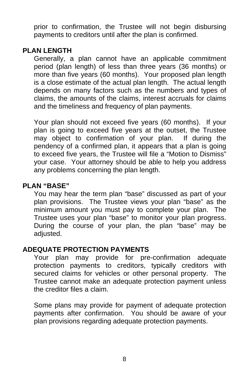prior to confirmation, the Trustee will not begin disbursing payments to creditors until after the plan is confirmed.

### **PLAN LENGTH**

Generally, a plan cannot have an applicable commitment period (plan length) of less than three years (36 months) or more than five years (60 months). Your proposed plan length is a close estimate of the actual plan length. The actual length depends on many factors such as the numbers and types of claims, the amounts of the claims, interest accruals for claims and the timeliness and frequency of plan payments.

Your plan should not exceed five years (60 months). If your plan is going to exceed five years at the outset, the Trustee may object to confirmation of your plan. If during the pendency of a confirmed plan, it appears that a plan is going to exceed five years, the Trustee will file a "Motion to Dismiss" your case. Your attorney should be able to help you address any problems concerning the plan length.

#### **PLAN "BASE"**

You may hear the term plan "base" discussed as part of your plan provisions. The Trustee views your plan "base" as the minimum amount you must pay to complete your plan. The Trustee uses your plan "base" to monitor your plan progress. During the course of your plan, the plan "base" may be adjusted.

### **ADEQUATE PROTECTION PAYMENTS**

Your plan may provide for pre-confirmation adequate protection payments to creditors, typically creditors with secured claims for vehicles or other personal property. The Trustee cannot make an adequate protection payment unless the creditor files a claim.

Some plans may provide for payment of adequate protection payments after confirmation. You should be aware of your plan provisions regarding adequate protection payments.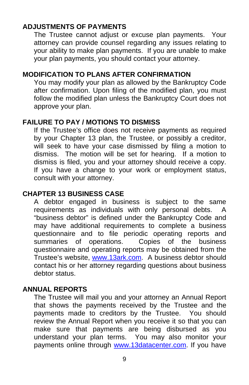# **ADJUSTMENTS OF PAYMENTS**

The Trustee cannot adjust or excuse plan payments. Your attorney can provide counsel regarding any issues relating to your ability to make plan payments. If you are unable to make your plan payments, you should contact your attorney.

### **MODIFICATION TO PLANS AFTER CONFIRMATION**

You may modify your plan as allowed by the Bankruptcy Code after confirmation. Upon filing of the modified plan, you must follow the modified plan unless the Bankruptcy Court does not approve your plan.

### **FAILURE TO PAY / MOTIONS TO DISMISS**

If the Trustee's office does not receive payments as required by your Chapter 13 plan, the Trustee, or possibly a creditor, will seek to have your case dismissed by filing a motion to dismiss. The motion will be set for hearing. If a motion to dismiss is filed, you and your attorney should receive a copy. If you have a change to your work or employment status, consult with your attorney.

#### **CHAPTER 13 BUSINESS CASE**

A debtor engaged in business is subject to the same requirements as individuals with only personal debts. A "business debtor" is defined under the Bankruptcy Code and may have additional requirements to complete a business questionnaire and to file periodic operating reports and<br>summaries of operations. Copies of the business Copies of the business. questionnaire and operating reports may be obtained from the Trustee's website, [www.13ark.com.](http://www.13ark.com/) A business debtor should contact his or her attorney regarding questions about business debtor status.

#### **ANNUAL REPORTS**

The Trustee will mail you and your attorney an Annual Report that shows the payments received by the Trustee and the payments made to creditors by the Trustee. You should review the Annual Report when you receive it so that you can make sure that payments are being disbursed as you understand your plan terms. You may also monitor your payments online through [www.13datacenter.com.](http://www.13datacenter.com/) If you have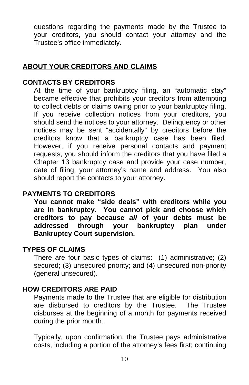questions regarding the payments made by the Trustee to your creditors, you should contact your attorney and the Trustee's office immediately.

### **ABOUT YOUR CREDITORS AND CLAIMS**

### **CONTACTS BY CREDITORS**

At the time of your bankruptcy filing, an "automatic stay" became effective that prohibits your creditors from attempting to collect debts or claims owing prior to your bankruptcy filing. If you receive collection notices from your creditors, you should send the notices to your attorney. Delinquency or other notices may be sent "accidentally" by creditors before the creditors know that a bankruptcy case has been filed. However, if you receive personal contacts and payment requests, you should inform the creditors that you have filed a Chapter 13 bankruptcy case and provide your case number, date of filing, your attorney's name and address. You also should report the contacts to your attorney.

#### **PAYMENTS TO CREDITORS**

**You cannot make "side deals" with creditors while you are in bankruptcy. You cannot pick and choose which creditors to pay because** *all* **of your debts must be addressed through your bankruptcy plan under Bankruptcy Court supervision.** 

#### **TYPES OF CLAIMS**

There are four basic types of claims: (1) administrative; (2) secured; (3) unsecured priority; and (4) unsecured non-priority (general unsecured).

### **HOW CREDITORS ARE PAID**

Payments made to the Trustee that are eligible for distribution are disbursed to creditors by the Trustee. The Trustee disburses at the beginning of a month for payments received during the prior month.

Typically, upon confirmation, the Trustee pays administrative costs, including a portion of the attorney's fees first; continuing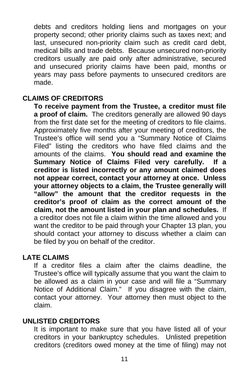debts and creditors holding liens and mortgages on your property second; other priority claims such as taxes next; and last, unsecured non-priority claim such as credit card debt, medical bills and trade debts. Because unsecured non-priority creditors usually are paid only after administrative, secured and unsecured priority claims have been paid, months or years may pass before payments to unsecured creditors are made.

#### **CLAIMS OF CREDITORS**

**To receive payment from the Trustee, a creditor must file a proof of claim.** The creditors generally are allowed 90 days from the first date set for the meeting of creditors to file claims. Approximately five months after your meeting of creditors, the Trustee's office will send you a "Summary Notice of Claims Filed" listing the creditors who have filed claims and the amounts of the claims. **You should read and examine the Summary Notice of Claims Filed very carefully. If a creditor is listed incorrectly or any amount claimed does not appear correct, contact your attorney at once. Unless your attorney objects to a claim, the Trustee generally will "allow" the amount that the creditor requests in the creditor's proof of claim as the correct amount of the claim, not the amount listed in your plan and schedules.** If a creditor does not file a claim within the time allowed and you want the creditor to be paid through your Chapter 13 plan, you should contact your attorney to discuss whether a claim can be filed by you on behalf of the creditor.

#### **LATE CLAIMS**

If a creditor files a claim after the claims deadline, the Trustee's office will typically assume that you want the claim to be allowed as a claim in your case and will file a "Summary Notice of Additional Claim." If you disagree with the claim, contact your attorney. Your attorney then must object to the claim.

#### **UNLISTED CREDITORS**

It is important to make sure that you have listed all of your creditors in your bankruptcy schedules. Unlisted prepetition creditors (creditors owed money at the time of filing) may not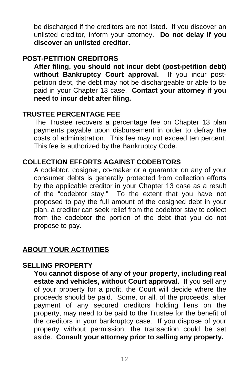be discharged if the creditors are not listed. If you discover an unlisted creditor, inform your attorney. **Do not delay if you discover an unlisted creditor.**

### **POST-PETITION CREDITORS**

**After filing, you should not incur debt (post-petition debt) without Bankruptcy Court approval.** If you incur postpetition debt, the debt may not be dischargeable or able to be paid in your Chapter 13 case. **Contact your attorney if you need to incur debt after filing.**

### **TRUSTEE PERCENTAGE FEE**

The Trustee recovers a percentage fee on Chapter 13 plan payments payable upon disbursement in order to defray the costs of administration. This fee may not exceed ten percent. This fee is authorized by the Bankruptcy Code.

### **COLLECTION EFFORTS AGAINST CODEBTORS**

A codebtor, cosigner, co-maker or a guarantor on any of your consumer debts is generally protected from collection efforts by the applicable creditor in your Chapter 13 case as a result of the "codebtor stay." To the extent that you have not proposed to pay the full amount of the cosigned debt in your plan, a creditor can seek relief from the codebtor stay to collect from the codebtor the portion of the debt that you do not propose to pay.

# **ABOUT YOUR ACTIVITIES**

# **SELLING PROPERTY**

**You cannot dispose of any of your property, including real estate and vehicles, without Court approval.** If you sell any of your property for a profit, the Court will decide where the proceeds should be paid. Some, or all, of the proceeds, after payment of any secured creditors holding liens on the property, may need to be paid to the Trustee for the benefit of the creditors in your bankruptcy case. If you dispose of your property without permission, the transaction could be set aside. **Consult your attorney prior to selling any property.**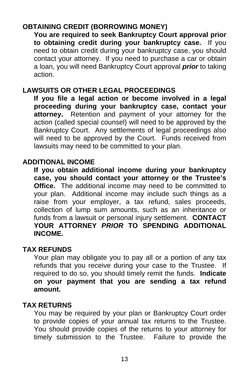# **OBTAINING CREDIT (BORROWING MONEY)**

**You are required to seek Bankruptcy Court approval prior to obtaining credit during your bankruptcy case.** If you need to obtain credit during your bankruptcy case, you should contact your attorney. If you need to purchase a car or obtain a loan, you will need Bankruptcy Court approval *prior* to taking action.

# **LAWSUITS OR OTHER LEGAL PROCEEDINGS**

**If you file a legal action or become involved in a legal proceeding during your bankruptcy case, contact your attorney.** Retention and payment of your attorney for the action (called special counsel) will need to be approved by the Bankruptcy Court. Any settlements of legal proceedings also will need to be approved by the Court. Funds received from lawsuits may need to be committed to your plan.

#### **ADDITIONAL INCOME**

**If you obtain additional income during your bankruptcy case, you should contact your attorney or the Trustee's Office.** The additional income may need to be committed to your plan. Additional income may include such things as a raise from your employer, a tax refund, sales proceeds, collection of lump sum amounts, such as an inheritance or funds from a lawsuit or personal injury settlement. **CONTACT YOUR ATTORNEY** *PRIOR* **TO SPENDING ADDITIONAL INCOME.**

#### **TAX REFUNDS**

Your plan may obligate you to pay all or a portion of any tax refunds that you receive during your case to the Trustee. If required to do so, you should timely remit the funds. **Indicate on your payment that you are sending a tax refund amount.**

#### **TAX RETURNS**

You may be required by your plan or Bankruptcy Court order to provide copies of your annual tax returns to the Trustee. You should provide copies of the returns to your attorney for timely submission to the Trustee. Failure to provide the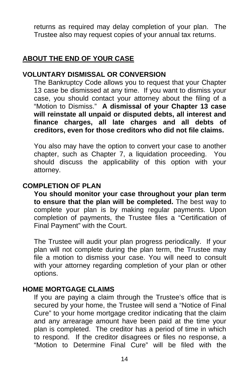returns as required may delay completion of your plan. The Trustee also may request copies of your annual tax returns.

### **ABOUT THE END OF YOUR CASE**

### **VOLUNTARY DISMISSAL OR CONVERSION**

The Bankruptcy Code allows you to request that your Chapter 13 case be dismissed at any time. If you want to dismiss your case, you should contact your attorney about the filing of a "Motion to Dismiss." **A dismissal of your Chapter 13 case will reinstate all unpaid or disputed debts, all interest and finance charges, all late charges and all debts of creditors, even for those creditors who did not file claims.** 

You also may have the option to convert your case to another chapter, such as Chapter 7, a liquidation proceeding. You should discuss the applicability of this option with your attorney.

### **COMPLETION OF PLAN**

**You should monitor your case throughout your plan term to ensure that the plan will be completed.** The best way to complete your plan is by making regular payments. Upon completion of payments, the Trustee files a "Certification of Final Payment" with the Court.

The Trustee will audit your plan progress periodically. If your plan will not complete during the plan term, the Trustee may file a motion to dismiss your case. You will need to consult with your attorney regarding completion of your plan or other options.

#### **HOME MORTGAGE CLAIMS**

If you are paying a claim through the Trustee's office that is secured by your home, the Trustee will send a "Notice of Final Cure" to your home mortgage creditor indicating that the claim and any arrearage amount have been paid at the time your plan is completed. The creditor has a period of time in which to respond. If the creditor disagrees or files no response, a "Motion to Determine Final Cure" will be filed with the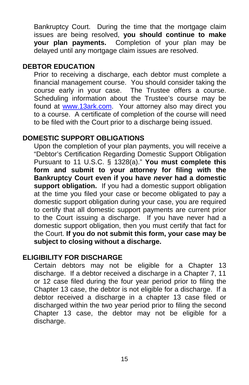Bankruptcy Court. During the time that the mortgage claim issues are being resolved, **you should continue to make your plan payments.** Completion of your plan may be delayed until any mortgage claim issues are resolved.

#### **DEBTOR EDUCATION**

Prior to receiving a discharge, each debtor must complete a financial management course. You should consider taking the course early in your case. The Trustee offers a course. Scheduling information about the Trustee's course may be found at [www.13ark.com.](http://www.13ark.com/) Your attorney also may direct you to a course. A certificate of completion of the course will need to be filed with the Court prior to a discharge being issued.

### **DOMESTIC SUPPORT OBLIGATIONS**

Upon the completion of your plan payments, you will receive a "Debtor's Certification Regarding Domestic Support Obligation Pursuant to 11 U.S.C. § 1328(a)." **You must complete this form and submit to your attorney for filing with the Bankruptcy Court even if you have** *never* **had a domestic support obligation.** If you had a domestic support obligation at the time you filed your case or become obligated to pay a domestic support obligation during your case, you are required to certify that all domestic support payments are current prior to the Court issuing a discharge. If you have never had a domestic support obligation, then you must certify that fact for the Court. **If you do not submit this form, your case may be subject to closing without a discharge.**

### **ELIGIBILITY FOR DISCHARGE**

Certain debtors may not be eligible for a Chapter 13 discharge. If a debtor received a discharge in a Chapter 7, 11 or 12 case filed during the four year period prior to filing the Chapter 13 case, the debtor is not eligible for a discharge. If a debtor received a discharge in a chapter 13 case filed or discharged within the two year period prior to filing the second Chapter 13 case, the debtor may not be eligible for a discharge.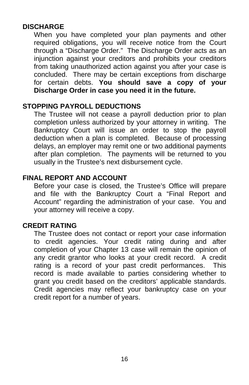# **DISCHARGE**

When you have completed your plan payments and other required obligations, you will receive notice from the Court through a "Discharge Order." The Discharge Order acts as an injunction against your creditors and prohibits your creditors from taking unauthorized action against you after your case is concluded. There may be certain exceptions from discharge for certain debts. **You should save a copy of your Discharge Order in case you need it in the future.** 

### **STOPPING PAYROLL DEDUCTIONS**

The Trustee will not cease a payroll deduction prior to plan completion unless authorized by your attorney in writing. The Bankruptcy Court will issue an order to stop the payroll deduction when a plan is completed. Because of processing delays, an employer may remit one or two additional payments after plan completion. The payments will be returned to you usually in the Trustee's next disbursement cycle.

### **FINAL REPORT AND ACCOUNT**

Before your case is closed, the Trustee's Office will prepare and file with the Bankruptcy Court a "Final Report and Account" regarding the administration of your case. You and your attorney will receive a copy.

### **CREDIT RATING**

The Trustee does not contact or report your case information to credit agencies. Your credit rating during and after completion of your Chapter 13 case will remain the opinion of any credit grantor who looks at your credit record. A credit rating is a record of your past credit performances. This record is made available to parties considering whether to grant you credit based on the creditors' applicable standards. Credit agencies may reflect your bankruptcy case on your credit report for a number of years.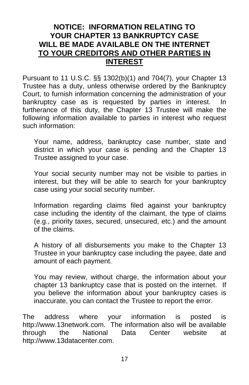# **NOTICE: INFORMATION RELATING TO YOUR CHAPTER 13 BANKRUPTCY CASE WILL BE MADE AVAILABLE ON THE INTERNET TO YOUR CREDITORS AND OTHER PARTIES IN INTEREST**

Pursuant to 11 U.S.C. §§ 1302(b)(1) and 704(7), your Chapter 13 Trustee has a duty, unless otherwise ordered by the Bankruptcy Court, to furnish information concerning the administration of your bankruptcy case as is requested by parties in interest. In furtherance of this duty, the Chapter 13 Trustee will make the following information available to parties in interest who request such information:

Your name, address, bankruptcy case number, state and district in which your case is pending and the Chapter 13 Trustee assigned to your case.

Your social security number may not be visible to parties in interest, but they will be able to search for your bankruptcy case using your social security number.

Information regarding claims filed against your bankruptcy case including the identity of the claimant, the type of claims (e.g., priority taxes, secured, unsecured, etc.) and the amount of the claims.

A history of all disbursements you make to the Chapter 13 Trustee in your bankruptcy case including the payee, date and amount of each payment.

You may review, without charge, the information about your chapter 13 bankruptcy case that is posted on the internet. If you believe the information about your bankruptcy cases is inaccurate, you can contact the Trustee to report the error.

The address where your information is posted is http://www.13network.com. The information also will be available through the National Data Center website at http://www.13datacenter.com.